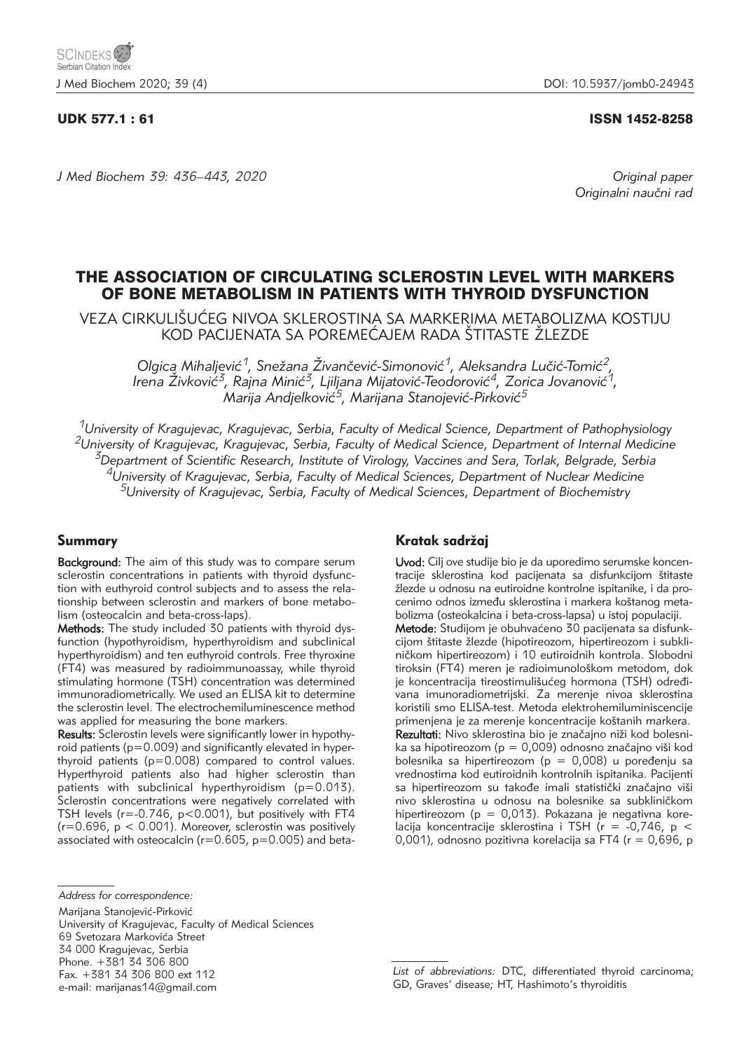#### UDK 577.1 : 61 ISSN 1452-8258

*J Med Biochem 39: 436–443, 2020 Original paper*

Originalni naučni rad

# THE ASSOCIATION OF CIRCULATING SCLEROSTIN LEVEL WITH MARKERS OF BONE METABOLISM IN PATIENTS WITH THYROID DYSFUNCTION

VEZA CIRKULIŠUĆEG NIVOA SKLEROSTINA SA MARKERIMA METABOLIZMA KOSTIJU KOD PACIJENATA SA POREMEĆAJEM RADA ŠTITASTE ŽLEZDE

Olgica Mihaljević<sup>1</sup>, Snežana Živančević-Simonović<sup>1</sup>, Aleksandra Lučić-Tomić<sup>2</sup>, Irena Živković<sup>3</sup>, Rajna Minić<sup>3</sup>, Ljiljana Mijatović-Teodorović<sup>4</sup>, Zorica Jovanović<sup>1</sup>, *Marija Andjelković<sup>5</sup>, Marijana Stanojević-Pirković*<sup>5</sup>

*1University of Kragujevac, Kragujevac, Serbia, Faculty of Medical Science, Department of Pathophysiology 2University of Kragujevac, Kragujevac, Serbia, Faculty of Medical Science, Department of Internal Medicine 3Department of Scientific Research, Institute of Virology, Vaccines and Sera, Torlak, Belgrade, Serbia 4University of Kragujevac, Serbia, Faculty of Medical Sciences, Department of Nuclear Medicine 5University of Kragujevac, Serbia, Faculty of Medical Sciences, Department of Biochemistry*

### Summary

Background: The aim of this study was to compare serum sclerostin concentrations in patients with thyroid dysfunction with euthyroid control subjects and to assess the relationship between sclerostin and markers of bone metabolism (osteocalcin and beta-cross-laps).

Methods: The study included 30 patients with thyroid dysfunction (hypothyroidism, hyperthyroidism and subclinical hyperthyroidism) and ten euthyroid controls. Free thyroxine (FT4) was measured by radioimmunoassay, while thyroid stimulating hormone (TSH) concentration was determined immunoradiometrically. We used an ELISA kit to determine the sclerostin level. The electrochemiluminescence method was applied for measuring the bone markers.

Results: Sclerostin levels were significantly lower in hypothyroid patients (p=0.009) and significantly elevated in hyperthyroid patients (p=0.008) compared to control values. Hyperthyroid patients also had higher sclerostin than patients with subclinical hyperthyroidism (p=0.013). Sclerostin concentrations were negatively correlated with TSH levels (r=-0.746, p<0.001), but positively with FT4  $(r=0.696, p < 0.001)$ . Moreover, sclerostin was positively associated with osteocalcin ( $r=0.605$ ,  $p=0.005$ ) and beta-

Marijana Stanojević-Pirković

University of Kragujevac, Faculty of Medical Sciences 69 Svetozara Markovića Street 34 000 Kragujevac, Serbia Phone. +381 34 306 800 Fax. +381 34 306 800 ext 112 e-mail: marijanas14@gmail.com

# Kratak sadržaj

Uvod: Cilj ove studije bio je da uporedimo serumske koncentracije sklerostina kod pacijenata sa disfunkcijom štitaste žlezde u odnosu na eutiroidne kontrolne ispitanike, i da procenimo odnos između sklerostina i markera koštanog metabolizma (osteokalcina i beta-cross-lapsa) u istoj populaciji.

Metode: Studijom je obuhvaćeno 30 pacijenata sa disfunkcijom štitaste žlezde (hipotireozom, hipertireozom i subkliničkom hipertireozom) i 10 eutiroidnih kontrola. Slobodni tiroksin (FT4) meren je radioimunološkom metodom, dok je koncentracija tireostimulišućeg hormona (TSH) određivana imunoradiometrijski. Za merenje nivoa sklerostina koristili smo ELISA-test. Metoda elektrohemiluminiscencije primenjena je za merenje koncentracije koštanih markera. Rezultati: Nivo sklerostina bio je značajno niži kod bolesnika sa hipotireozom ( $p = 0,009$ ) odnosno značajno viši kod bolesnika sa hipertireozom ( $p = 0,008$ ) u poređenju sa vrednostima kod eutiroidnih kontrolnih ispitanika. Pacijenti sa hipertireozom su takođe imali statistički značajno viši nivo sklerostina u odnosu na bolesnike sa subkliničkom hipertireozom (p = 0,013). Pokazana je negativna korelacija koncentracije sklerostina i TSH ( $r = -0.746$ ,  $p <$ 0,001), odnosno pozitivna korelacija sa FT4 (r = 0,696, p

*Address for correspondence:*

*List of abbreviations:* DTC, differentiated thyroid carcinoma; GD, Graves' disease; HT, Hashimoto's thyroiditis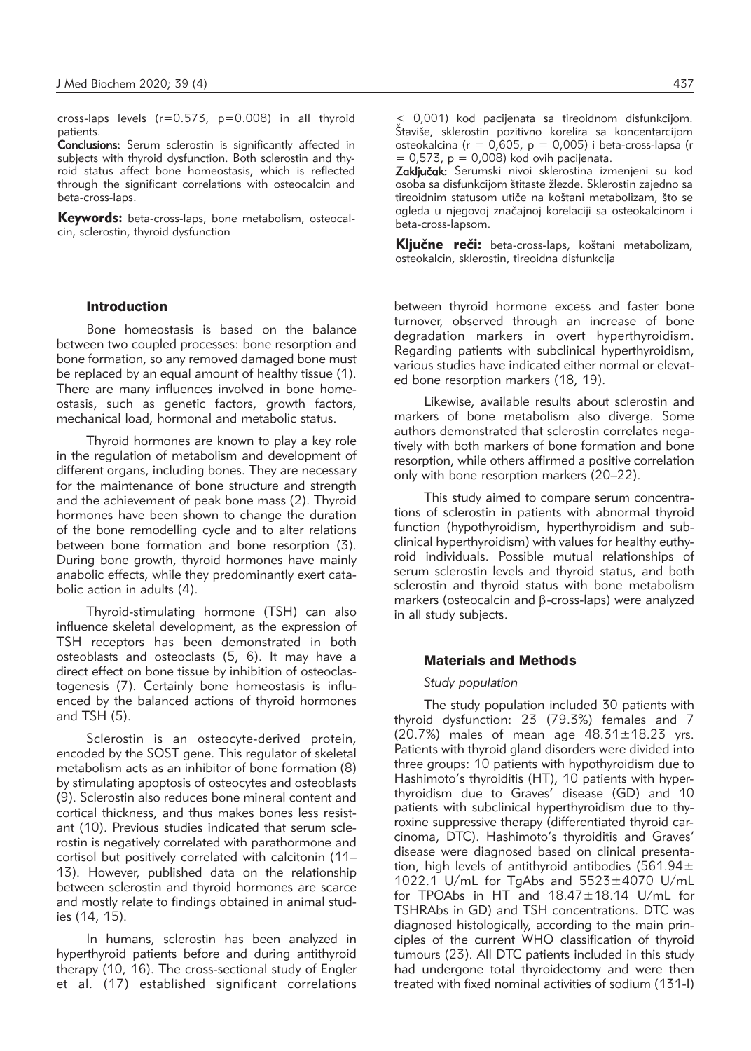cross-laps levels  $(r=0.573, p=0.008)$  in all thyroid patients.

Conclusions: Serum sclerostin is significantly affected in subjects with thyroid dysfunction. Both sclerostin and thyroid status affect bone homeostasis, which is reflected through the significant correlations with osteocalcin and beta-cross-laps.

Keywords: beta-cross-laps, bone metabolism, osteocalcin, sclerostin, thyroid dysfunction

#### Introduction

Bone homeostasis is based on the balance between two coupled processes: bone resorption and bone formation, so any removed damaged bone must be replaced by an equal amount of healthy tissue (1). There are many influences involved in bone homeostasis, such as genetic factors, growth factors, mechanical load, hormonal and metabolic status.

Thyroid hormones are known to play a key role in the regulation of metabolism and development of different organs, including bones. They are necessary for the maintenance of bone structure and strength and the achievement of peak bone mass (2). Thyroid hormones have been shown to change the duration of the bone remodelling cycle and to alter relations between bone formation and bone resorption (3). During bone growth, thyroid hormones have mainly anabolic effects, while they predominantly exert catabolic action in adults (4).

Thyroid-stimulating hormone (TSH) can also influence skeletal development, as the expression of TSH receptors has been demonstrated in both osteoblasts and osteoclasts (5, 6). It may have a direct effect on bone tissue by inhibition of osteoclastogenesis (7). Certainly bone homeostasis is influenced by the balanced actions of thyroid hormones and TSH (5).

Sclerostin is an osteocyte-derived protein, encoded by the SOST gene. This regulator of skeletal metabolism acts as an inhibitor of bone formation (8) by stimulating apoptosis of osteocytes and osteoblasts (9). Sclerostin also reduces bone mineral content and cortical thickness, and thus makes bones less resistant (10). Previous studies indicated that serum sclerostin is negatively correlated with parathormone and cortisol but positively correlated with calcitonin (11– 13). However, published data on the relationship between sclerostin and thyroid hormones are scarce and mostly relate to findings obtained in animal studies (14, 15).

In humans, sclerostin has been analyzed in hyperthyroid patients before and during antithyroid therapy (10, 16). The cross-sectional study of Engler et al. (17) established significant correlations

< 0,001) kod pacijenata sa tireoidnom disfunkcijom. Štaviše, sklerostin pozitivno korelira sa koncentarcijom osteokalcina ( $r = 0.605$ ,  $p = 0.005$ ) i beta-cross-lapsa (r  $= 0.573$ ,  $p = 0.008$ ) kod ovih pacijenata.

Zaključak: Serumski nivoi sklerostina izmenjeni su kod osoba sa disfunkcijom štitaste žlezde. Sklerostin zajedno sa tireoidnim statusom utiče na koštani metabolizam, što se ogleda u njegovoj značajnoj korelaciji sa osteokalcinom i beta-cross-lapsom.

Ključne reči: beta-cross-laps, koštani metabolizam, osteokalcin, sklerostin, tireoidna disfunkcija

between thyroid hormone excess and faster bone turnover, observed through an increase of bone degradation markers in overt hyperthyroidism. Regarding patients with subclinical hyperthyroidism, various studies have indicated either normal or elevated bone resorption markers (18, 19).

Likewise, available results about sclerostin and markers of bone metabolism also diverge. Some authors demonstrated that sclerostin correlates negatively with both markers of bone formation and bone resorption, while others affirmed a positive correlation only with bone resorption markers (20–22).

This study aimed to compare serum concentrations of sclerostin in patients with abnormal thyroid function (hypothyroidism, hyperthyroidism and subclinical hyperthyroidism) with values for healthy euthyroid individuals. Possible mutual relationships of serum sclerostin levels and thyroid status, and both sclerostin and thyroid status with bone metabolism markers (osteocalcin and  $\beta$ -cross-laps) were analyzed in all study subjects.

#### Materials and Methods

#### *Study population*

The study population included 30 patients with thyroid dysfunction: 23 (79.3%) females and 7 (20.7%) males of mean age 48.31±18.23 yrs. Patients with thyroid gland disorders were divided into three groups: 10 patients with hypothyroidism due to Hashimoto's thyroiditis (HT), 10 patients with hyperthyroidism due to Graves' disease (GD) and 10 patients with subclinical hyperthyroidism due to thyroxine suppressive therapy (differentiated thyroid carcinoma, DTC). Hashimoto's thyroiditis and Graves' disease were diagnosed based on clinical presentation, high levels of antithyroid antibodies (561.94 $\pm$ 1022.1 U/mL for TgAbs and 5523±4070 U/mL for TPOAbs in HT and 18.47±18.14 U/mL for TSHRAbs in GD) and TSH concentrations. DTC was diagnosed histologically, according to the main principles of the current WHO classification of thyroid tumours (23). All DTC patients included in this study had undergone total thyroidectomy and were then treated with fixed nominal activities of sodium (131-I)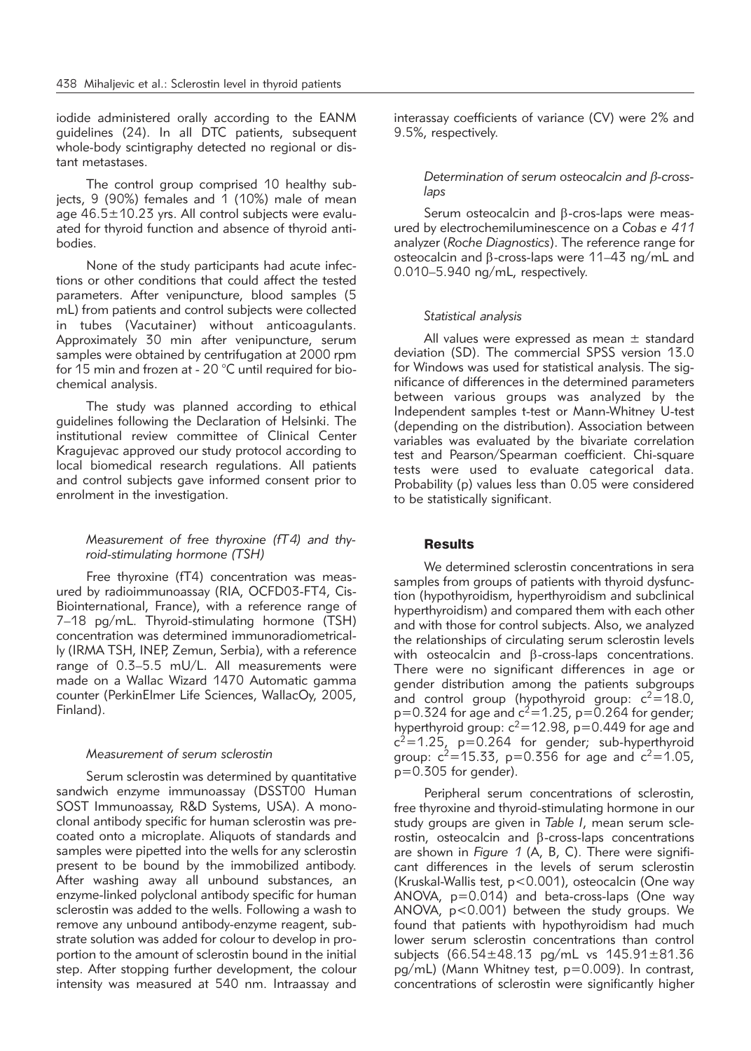iodide administered orally according to the EANM guidelines (24). In all DTC patients, subsequent whole-body scintigraphy detected no regional or distant metastases.

The control group comprised 10 healthy subjects, 9 (90%) females and 1 (10%) male of mean age  $46.5 \pm 10.23$  yrs. All control subjects were evaluated for thyroid function and absence of thyroid antibodies.

None of the study participants had acute infections or other conditions that could affect the tested parameters. After venipuncture, blood samples (5 mL) from patients and control subjects were collected in tubes (Vacutainer) without anticoagulants. Approximately 30 min after venipuncture, serum samples were obtained by centrifugation at 2000 rpm for 15 min and frozen at - 20 °C until required for biochemical analysis.

The study was planned according to ethical guidelines following the Declaration of Helsinki. The institutional review committee of Clinical Center Kragujevac approved our study protocol according to local biomedical research regulations. All patients and control subjects gave informed consent prior to enrolment in the investigation.

# *Measurement of free thyroxine (fT4) and thyroid-stimulating hormone (TSH)*

Free thyroxine (fT4) concentration was measured by radioimmunoassay (RIA, OCFD03-FT4, Cis-Biointernational, France), with a reference range of 7–18 pg/mL. Thyroid-stimulating hormone (TSH) concentration was determined immunoradiometrically (IRMA TSH, INEP, Zemun, Serbia), with a reference range of 0.3–5.5 mU/L. All measurements were made on a Wallac Wizard 1470 Automatic gamma counter (PerkinElmer Life Sciences, WallacOy, 2005, Finland).

### *Measurement of serum sclerostin*

Serum sclerostin was determined by quantitative sandwich enzyme immunoassay (DSST00 Human SOST Immunoassay, R&D Systems, USA). A monoclonal antibody specific for human sclerostin was precoated onto a microplate. Aliquots of standards and samples were pipetted into the wells for any sclerostin present to be bound by the immobilized antibody. After washing away all unbound substances, an enzyme-linked polyclonal antibody specific for human sclerostin was added to the wells. Following a wash to remove any unbound antibody-enzyme reagent, substrate solution was added for colour to develop in proportion to the amount of sclerostin bound in the initial step. After stopping further development, the colour intensity was measured at 540 nm. Intraassay and

interassay coefficients of variance (CV) were 2% and 9.5%, respectively.

## *Determination of serum osteocalcin and* b*-crosslaps*

Serum osteocalcin and B-cros-laps were measured by electrochemiluminescence on a *Cobas e 411* analyzer (*Roche Diagnostics*). The reference range for osteocalcin and  $\beta$ -cross-laps were 11–43 ng/mL and 0.010–5.940 ng/mL, respectively.

### *Statistical analysis*

All values were expressed as mean  $\pm$  standard deviation (SD). The commercial SPSS version 13.0 for Windows was used for statistical analysis. The significance of differences in the determined parameters between various groups was analyzed by the Independent samples t-test or Mann-Whitney U-test (depending on the distribution). Association between variables was evaluated by the bivariate correlation test and Pearson/Spearman coefficient. Chi-square tests were used to evaluate categorical data. Probability (p) values less than 0.05 were considered to be statistically significant.

### **Results**

We determined sclerostin concentrations in sera samples from groups of patients with thyroid dysfunction (hypothyroidism, hyperthyroidism and subclinical hyperthyroidism) and compared them with each other and with those for control subjects. Also, we analyzed the relationships of circulating serum sclerostin levels with osteocalcin and  $\beta$ -cross-laps concentrations. There were no significant differences in age or gender distribution among the patients subgroups and control group (hypothyroid group:  $c^2$ =18.0,  $p=0.324$  for age and  $c^2=1.25$ ,  $p=0.264$  for gender; hyperthyroid group:  $c^2$ =12.98, p=0.449 for age and  $c^2$ =1.25, p=0.264 for gender; sub-hyperthyroid group:  $c^2$ =15.33, p=0.356 for age and  $c^2$ =1.05,  $p=0.305$  for gender).

Peripheral serum concentrations of sclerostin, free thyroxine and thyroid-stimulating hormone in our study groups are given in *Table I*, mean serum sclerostin, osteocalcin and  $\beta$ -cross-laps concentrations are shown in *Figure 1* (A, B, C). There were significant differences in the levels of serum sclerostin (Kruskal-Wallis test, p<0.001), osteocalcin (One way ANOVA, p=0.014) and beta-cross-laps (One way ANOVA, p<0.001) between the study groups. We found that patients with hypothyroidism had much lower serum sclerostin concentrations than control subjects (66.54±48.13 pg/mL vs 145.91±81.36 pg/mL) (Mann Whitney test, p=0.009). In contrast, concentrations of sclerostin were significantly higher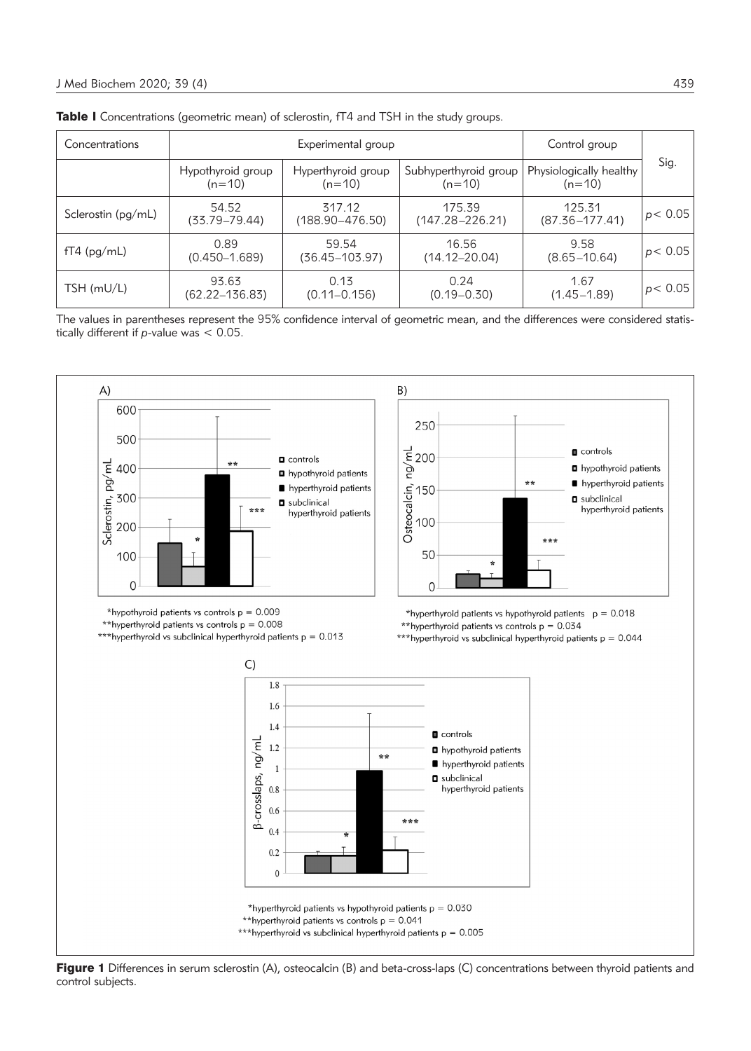| Concentrations     |                               | Control group                  |                                   |                                     |          |  |
|--------------------|-------------------------------|--------------------------------|-----------------------------------|-------------------------------------|----------|--|
|                    | Hypothyroid group<br>$(n=10)$ | Hyperthyroid group<br>$(n=10)$ | Subhyperthyroid group<br>$(n=10)$ | Physiologically healthy<br>$(n=10)$ | Sig.     |  |
| Sclerostin (pg/mL) | 54.52<br>$(33.79 - 79.44)$    | 317.12<br>$(188.90 - 476.50)$  | 175.39<br>$(147.28 - 226.21)$     | 125.31<br>$(87.36 - 177.41)$        | p < 0.05 |  |
| $fT4$ (pg/mL)      | 0.89<br>$(0.450 - 1.689)$     | 59.54<br>(36.45–103.97)        | 16.56<br>$(14.12 - 20.04)$        | 9.58<br>$(8.65 - 10.64)$            | p < 0.05 |  |
| $TSH$ (mU/L)       | 93.63<br>$(62.22 - 136.83)$   | 0.13<br>$(0.11 - 0.156)$       | 0.24<br>$(0.19 - 0.30)$           | 1.67<br>$(1.45 - 1.89)$             | p < 0.05 |  |

|  |  |  | <b>Table I</b> Concentrations (geometric mean) of sclerostin, fT4 and TSH in the study groups. |  |  |  |  |  |  |  |  |  |
|--|--|--|------------------------------------------------------------------------------------------------|--|--|--|--|--|--|--|--|--|
|--|--|--|------------------------------------------------------------------------------------------------|--|--|--|--|--|--|--|--|--|

The values in parentheses represent the 95% confidence interval of geometric mean, and the differences were considered statistically different if *p*-value was < 0.05.



Figure 1 Differences in serum sclerostin (A), osteocalcin (B) and beta-cross-laps (C) concentrations between thyroid patients and control subjects.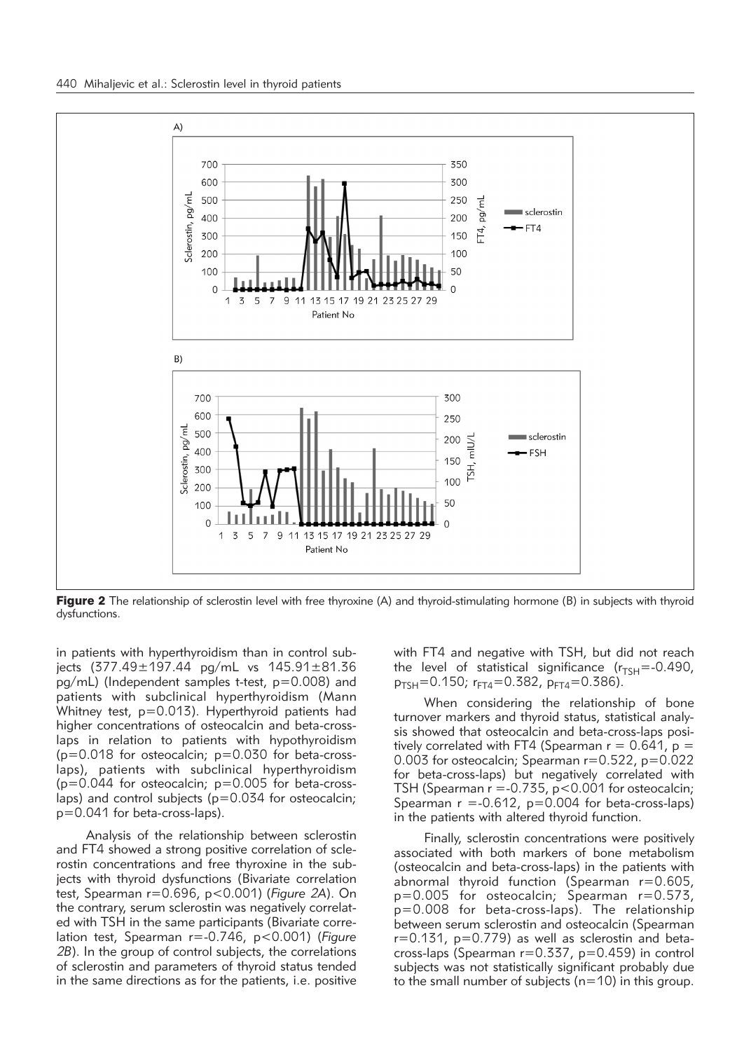

Figure 2 The relationship of sclerostin level with free thyroxine (A) and thyroid-stimulating hormone (B) in subjects with thyroid dysfunctions.

in patients with hyperthyroidism than in control subjects (377.49±197.44 pg/mL vs 145.91±81.36 pg/mL) (Independent samples t-test, p=0.008) and patients with subclinical hyperthyroidism (Mann Whitney test, p=0.013). Hyperthyroid patients had higher concentrations of osteocalcin and beta-crosslaps in relation to patients with hypothyroidism  $(p=0.018$  for osteocalcin;  $p=0.030$  for beta-crosslaps), patients with subclinical hyperthyroidism  $(p=0.044$  for osteocalcin;  $p=0.005$  for beta-crosslaps) and control subjects (p=0.034 for osteocalcin; p=0.041 for beta-cross-laps).

Analysis of the relationship between sclerostin and FT4 showed a strong positive correlation of sclerostin concentrations and free thyroxine in the subjects with thyroid dysfunctions (Bivariate correlation test, Spearman r=0.696, p<0.001) (*Figure 2A*). On the contrary, serum sclerostin was negatively correlated with TSH in the same participants (Bivariate correlation test, Spearman r=-0.746, p<0.001) (*Figure 2B*). In the group of control subjects, the correlations of sclerostin and parameters of thyroid status tended in the same directions as for the patients, i.e. positive

with FT4 and negative with TSH, but did not reach the level of statistical significance  $(r_{TSH} = -0.490)$ ,  $p_{TSH}$ =0.150;  $r_{FT4}$ =0.382,  $p_{FT4}$ =0.386).

When considering the relationship of bone turnover markers and thyroid status, statistical analysis showed that osteocalcin and beta-cross-laps positively correlated with FT4 (Spearman  $r = 0.641$ ,  $p =$ 0.003 for osteocalcin; Spearman r=0.522, p=0.022 for beta-cross-laps) but negatively correlated with TSH (Spearman  $r = -0.735$ ,  $p < 0.001$  for osteocalcin; Spearman  $r = -0.612$ ,  $p = 0.004$  for beta-cross-laps) in the patients with altered thyroid function.

Finally, sclerostin concentrations were positively associated with both markers of bone metabolism (osteocalcin and beta-cross-laps) in the patients with abnormal thyroid function (Spearman r=0.605, p=0.005 for osteocalcin; Spearman r=0.573, p=0.008 for beta-cross-laps). The relationship between serum sclerostin and osteocalcin (Spearman  $r=0.131$ ,  $p=0.779$ ) as well as sclerostin and betacross-laps (Spearman r=0.337, p=0.459) in control subjects was not statistically significant probably due to the small number of subjects ( $n=10$ ) in this group.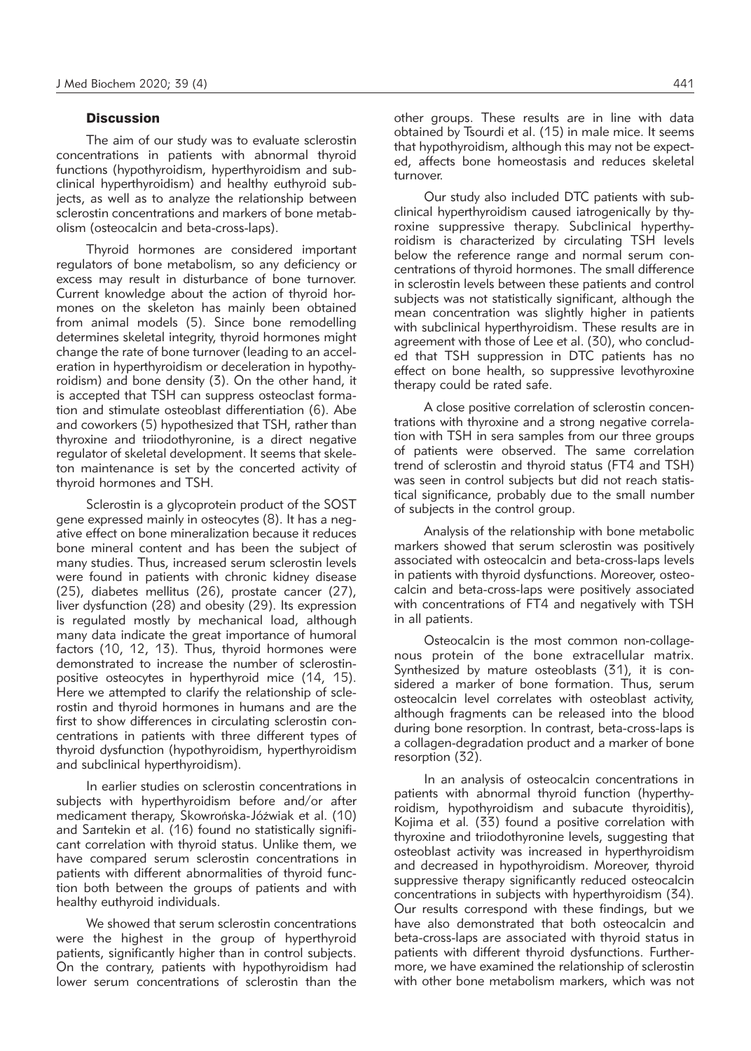#### **Discussion**

The aim of our study was to evaluate sclerostin concentrations in patients with abnormal thyroid functions (hypothyroidism, hyperthyroidism and subclinical hyperthyroidism) and healthy euthyroid subjects, as well as to analyze the relationship between sclerostin concentrations and markers of bone metabolism (osteocalcin and beta-cross-laps).

Thyroid hormones are considered important regulators of bone metabolism, so any deficiency or excess may result in disturbance of bone turnover. Current knowledge about the action of thyroid hormones on the skeleton has mainly been obtained from animal models (5). Since bone remodelling determines skeletal integrity, thyroid hormones might change the rate of bone turnover (leading to an acceleration in hyperthyroidism or deceleration in hypothyroidism) and bone density (3). On the other hand, it is accepted that TSH can suppress osteoclast formation and stimulate osteoblast differentiation (6). Abe and coworkers (5) hypothesized that TSH, rather than thyroxine and triiodothyronine, is a direct negative regulator of skeletal development. It seems that skeleton maintenance is set by the concerted activity of thyroid hormones and TSH.

Sclerostin is a glycoprotein product of the SOST gene expressed mainly in osteocytes (8). It has a negative effect on bone mineralization because it reduces bone mineral content and has been the subject of many studies. Thus, increased serum sclerostin levels were found in patients with chronic kidney disease (25), diabetes mellitus (26), prostate cancer (27), liver dysfunction (28) and obesity (29). Its expression is regulated mostly by mechanical load, although many data indicate the great importance of humoral factors (10, 12, 13). Thus, thyroid hormones were demonstrated to increase the number of sclerostinpositive osteocytes in hyperthyroid mice (14, 15). Here we attempted to clarify the relationship of sclerostin and thyroid hormones in humans and are the first to show differences in circulating sclerostin concentrations in patients with three different types of thyroid dysfunction (hypothyroidism, hyperthyroidism and subclinical hyperthyroidism).

In earlier studies on sclerostin concentrations in subjects with hyperthyroidism before and/or after medicament therapy, Skowrońska-Jóźwiak et al. (10) and Sarıtekin et al. (16) found no statistically significant correlation with thyroid status. Unlike them, we have compared serum sclerostin concentrations in patients with different abnormalities of thyroid function both between the groups of patients and with healthy euthyroid individuals.

We showed that serum sclerostin concentrations were the highest in the group of hyperthyroid patients, significantly higher than in control subjects. On the contrary, patients with hypothyroidism had lower serum concentrations of sclerostin than the other groups. These results are in line with data obtained by Tsourdi et al. (15) in male mice. It seems that hypothyroidism, although this may not be expected, affects bone homeostasis and reduces skeletal turnover.

Our study also included DTC patients with subclinical hyperthyroidism caused iatrogenically by thyroxine suppressive therapy. Subclinical hyperthyroidism is characterized by circulating TSH levels below the reference range and normal serum concentrations of thyroid hormones. The small difference in sclerostin levels between these patients and control subjects was not statistically significant, although the mean concentration was slightly higher in patients with subclinical hyperthyroidism. These results are in agreement with those of Lee et al. (30), who concluded that TSH suppression in DTC patients has no effect on bone health, so suppressive levothyroxine therapy could be rated safe.

A close positive correlation of sclerostin concentrations with thyroxine and a strong negative correlation with TSH in sera samples from our three groups of patients were observed. The same correlation trend of sclerostin and thyroid status (FT4 and TSH) was seen in control subjects but did not reach statistical significance, probably due to the small number of subjects in the control group.

Analysis of the relationship with bone metabolic markers showed that serum sclerostin was positively associated with osteocalcin and beta-cross-laps levels in patients with thyroid dysfunctions. Moreover, osteocalcin and beta-cross-laps were positively associated with concentrations of FT4 and negatively with TSH in all patients.

Osteocalcin is the most common non-collagenous protein of the bone extracellular matrix. Synthesized by mature osteoblasts (31), it is considered a marker of bone formation. Thus, serum osteocalcin level correlates with osteoblast activity, although fragments can be released into the blood during bone resorption. In contrast, beta-cross-laps is a collagen-degradation product and a marker of bone resorption (32).

In an analysis of osteocalcin concentrations in patients with abnormal thyroid function (hyperthyroidism, hypothyroidism and subacute thyroiditis), Kojima et al*.* (33) found a positive correlation with thyroxine and triiodothyronine levels, suggesting that osteoblast activity was increased in hyperthyroidism and decreased in hypothyroidism. Moreover, thyroid suppressive therapy significantly reduced osteocalcin concentrations in subjects with hyperthyroidism (34). Our results correspond with these findings, but we have also demonstrated that both osteocalcin and beta-cross-laps are associated with thyroid status in patients with different thyroid dysfunctions. Furthermore, we have examined the relationship of sclerostin with other bone metabolism markers, which was not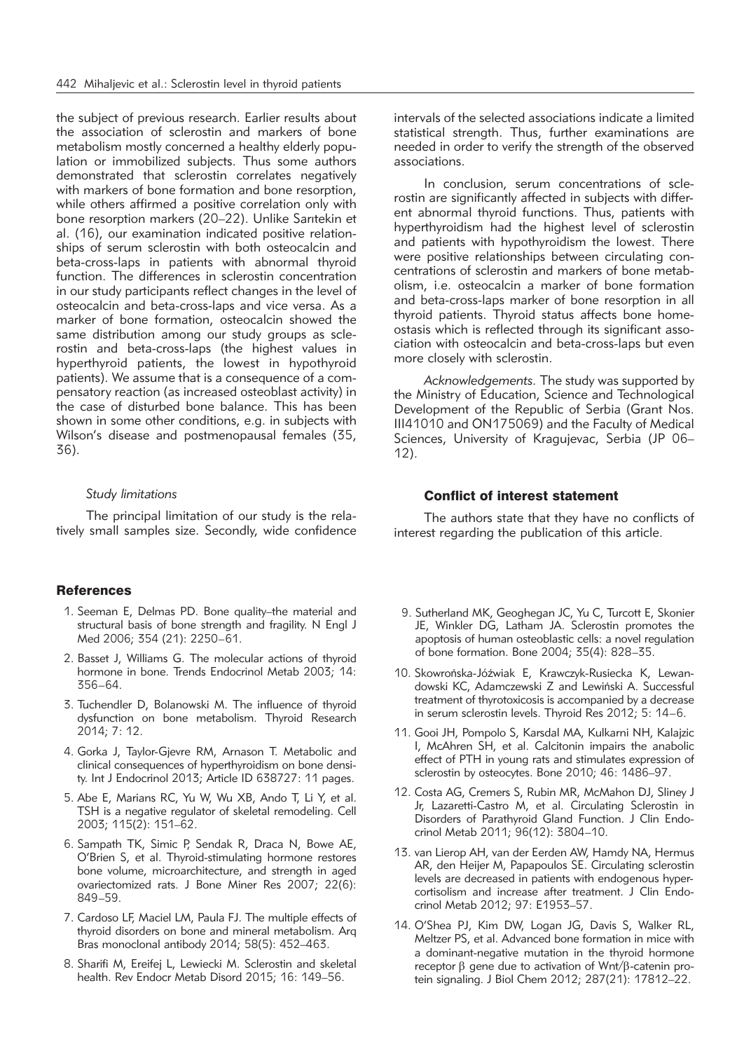the subject of previous research. Earlier results about the association of sclerostin and markers of bone metabolism mostly concerned a healthy elderly population or immobilized subjects. Thus some authors demonstrated that sclerostin correlates negatively with markers of bone formation and bone resorption, while others affirmed a positive correlation only with bone resorption markers (20–22). Unlike Sarıtekin et al. (16), our examination indicated positive relationships of serum sclerostin with both osteocalcin and beta-cross-laps in patients with abnormal thyroid function. The differences in sclerostin concentration in our study participants reflect changes in the level of osteocalcin and beta-cross-laps and vice versa. As a marker of bone formation, osteocalcin showed the same distribution among our study groups as sclerostin and beta-cross-laps (the highest values in hyperthyroid patients, the lowest in hypothyroid patients). We assume that is a consequence of a compensatory reaction (as increased osteoblast activity) in the case of disturbed bone balance. This has been shown in some other conditions, e.g. in subjects with Wilson's disease and postmenopausal females (35, 36).

#### *Study limitations*

The principal limitation of our study is the relatively small samples size. Secondly, wide confidence

# **References**

- 1. Seeman E, Delmas PD. Bone quality–the material and structural basis of bone strength and fragility. N Engl J Med 2006; 354 (21): 2250–61.
- 2. Basset J, Williams G. The molecular actions of thyroid hormone in bone. Trends Endocrinol Metab 2003; 14: 356–64.
- 3. Tuchendler D, Bolanowski M. The influence of thyroid dysfunction on bone metabolism. Thyroid Research 2014; 7: 12.
- 4. Gorka J, Taylor-Gjevre RM, Arnason T. Metabolic and clinical consequences of hyperthyroidism on bone density. Int J Endocrinol 2013; Article ID 638727: 11 pages.
- 5. Abe E, Marians RC, Yu W, Wu XB, Ando T, Li Y, et al. TSH is a negative regulator of skeletal remodeling. Cell 2003; 115(2): 151–62.
- 6. Sampath TK, Simic P, Sendak R, Draca N, Bowe AE, O'Brien S, et al. Thyroid-stimulating hormone restores bone volume, microarchitecture, and strength in aged ovariectomized rats. J Bone Miner Res 2007; 22(6): 849–59.
- 7. Cardoso LF, Maciel LM, Paula FJ. The multiple effects of thyroid disorders on bone and mineral metabolism. Arq Bras monoclonal antibody 2014; 58(5): 452–463.
- 8. Sharifi M, Ereifej L, Lewiecki M. Sclerostin and skeletal health. Rev Endocr Metab Disord 2015; 16: 149–56.

intervals of the selected associations indicate a limited statistical strength. Thus, further examinations are needed in order to verify the strength of the observed associations.

In conclusion, serum concentrations of sclerostin are significantly affected in subjects with different abnormal thyroid functions. Thus, patients with hyperthyroidism had the highest level of sclerostin and patients with hypothyroidism the lowest. There were positive relationships between circulating concentrations of sclerostin and markers of bone metabolism, i.e. osteocalcin a marker of bone formation and beta-cross-laps marker of bone resorption in all thyroid patients. Thyroid status affects bone homeostasis which is reflected through its significant association with osteocalcin and beta-cross-laps but even more closely with sclerostin.

*Acknowledgements.* The study was supported by the Ministry of Education, Science and Technological Development of the Republic of Serbia (Grant Nos. III41010 and ON175069) and the Faculty of Medical Sciences, University of Kragujevac, Serbia (JP 06– 12).

#### Conflict of interest statement

The authors state that they have no conflicts of interest regarding the publication of this article.

- 9. Sutherland MK, Geoghegan JC, Yu C, Turcott E, Skonier JE, Winkler DG, Latham JA. Sclerostin promotes the apoptosis of human osteoblastic cells: a novel regulation of bone formation. Bone 2004; 35(4): 828–35.
- 10. Skowrońska-Jóźwiak E, Krawczyk-Rusiecka K, Lewandowski KC, Adamczewski Z and Lewiński A. Successful treatment of thyrotoxicosis is accompanied by a decrease in serum sclerostin levels. Thyroid Res 2012; 5: 14–6.
- 11. Gooi JH, Pompolo S, Karsdal MA, Kulkarni NH, Kalajzic I, McAhren SH, et al. Calcitonin impairs the anabolic effect of PTH in young rats and stimulates expression of sclerostin by osteocytes. Bone 2010; 46: 1486–97.
- 12. Costa AG, Cremers S, Rubin MR, McMahon DJ, Sliney J Jr, Lazaretti-Castro M, et al. Circulating Sclerostin in Disorders of Parathyroid Gland Function. J Clin Endocrinol Metab 2011; 96(12): 3804–10.
- 13. van Lierop AH, van der Eerden AW, Hamdy NA, Hermus AR, den Heijer M, Papapoulos SE. Circulating sclerostin levels are decreased in patients with endogenous hypercortisolism and increase after treatment. J Clin Endocrinol Metab 2012; 97: E1953–57.
- 14. O'Shea PJ, Kim DW, Logan JG, Davis S, Walker RL, Meltzer PS, et al. Advanced bone formation in mice with a dominant-negative mutation in the thyroid hormone receptor  $\beta$  gene due to activation of Wnt/ $\beta$ -catenin protein signaling. J Biol Chem 2012; 287(21): 17812–22.